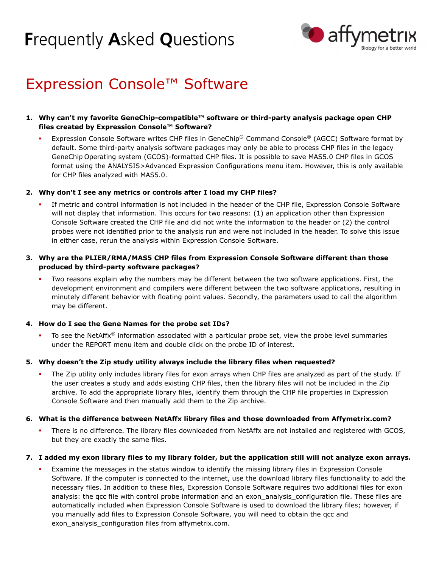# **Frequently Asked Questions**



## Expression Console™ Software

#### 1. Why can't my favorite GeneChip-compatible™ software or third-party analysis package open CHP files created by Expression Console™ Software?

Expression Console Software writes CHP files in GeneChip® Command Console® (AGCC) Software format by default. Some third-party analysis software packages may only be able to process CHP files in the legacy GeneChip Operating system (GCOS)-formatted CHP files. It is possible to save MAS5.0 CHP files in GCOS format using the ANALYSIS>Advanced Expression Configurations menu item. However, this is only available for CHP files analyzed with MAS5.0.

#### 2. Why don't I see any metrics or controls after I load my CHP files?

If metric and control information is not included in the header of the CHP file, Expression Console Software will not display that information. This occurs for two reasons: (1) an application other than Expression Console Software created the CHP file and did not write the information to the header or (2) the control probes were not identified prior to the analysis run and were not included in the header. To solve this issue in either case, rerun the analysis within Expression Console Software.

### 3. Why are the PLIER/RMA/MAS5 CHP files from Expression Console Software different than those produced by third-party software packages?

Two reasons explain why the numbers may be different between the two software applications. First, the development environment and compilers were different between the two software applications, resulting in minutely different behavior with floating point values. Secondly, the parameters used to call the algorithm may be different.

### 4. How do I see the Gene Names for the probe set IDs?

To see the NetAffx® information associated with a particular probe set, view the probe level summaries under the REPORT menu item and double click on the probe ID of interest.

#### 5. Why doesn't the Zip study utility always include the library files when requested?

The Zip utility only includes library files for exon arrays when CHP files are analyzed as part of the study. If the user creates a study and adds existing CHP files, then the library files will not be included in the Zip archive. To add the appropriate library files, identify them through the CHP file properties in Expression Console Software and then manually add them to the Zip archive.

#### 6. What is the difference between NetAffx library files and those downloaded from Affymetrix.com?

There is no difference. The library files downloaded from NetAffx are not installed and registered with GCOS, but they are exactly the same files.

#### 7. I added my exon library files to my library folder, but the application still will not analyze exon arrays.

Examine the messages in the status window to identify the missing library files in Expression Console Software. If the computer is connected to the internet, use the download library files functionality to add the necessary files. In addition to these files, Expression Console Software requires two additional files for exon analysis: the qcc file with control probe information and an exon\_analysis\_configuration file. These files are automatically included when Expression Console Software is used to download the library files; however, if you manually add files to Expression Console Software, you will need to obtain the gcc and exon\_analysis\_configuration files from affymetrix.com.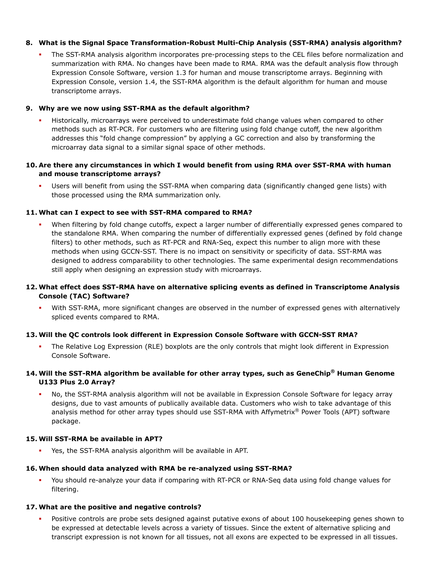#### **8. What is the Signal Space Transformation-Robust Multi-Chip Analysis (SST-RMA) analysis algorithm?**

 The SST-RMA analysis algorithm incorporates pre-processing steps to the CEL files before normalization and summarization with RMA. No changes have been made to RMA. RMA was the default analysis flow through Expression Console Software, version 1.3 for human and mouse transcriptome arrays. Beginning with Expression Console, version 1.4, the SST-RMA algorithm is the default algorithm for human and mouse transcriptome arrays.

#### **9. Why are we now using SST-RMA as the default algorithm?**

 Historically, microarrays were perceived to underestimate fold change values when compared to other methods such as RT-PCR. For customers who are filtering using fold change cutoff, the new algorithm addresses this "fold change compression" by applying a GC correction and also by transforming the microarray data signal to a similar signal space of other methods.

#### **10. Are there any circumstances in which I would benefit from using RMA over SST-RMA with human and mouse transcriptome arrays?**

 Users will benefit from using the SST-RMA when comparing data (significantly changed gene lists) with those processed using the RMA summarization only.

#### **11. What can I expect to see with SST-RMA compared to RMA?**

 When filtering by fold change cutoffs, expect a larger number of differentially expressed genes compared to the standalone RMA. When comparing the number of differentially expressed genes (defined by fold change filters) to other methods, such as RT-PCR and RNA-Seq, expect this number to align more with these methods when using GCCN-SST. There is no impact on sensitivity or specificity of data. SST-RMA was designed to address comparability to other technologies. The same experimental design recommendations still apply when designing an expression study with microarrays.

#### **12. What effect does SST-RMA have on alternative splicing events as defined in Transcriptome Analysis Console (TAC) Software?**

 With SST-RMA, more significant changes are observed in the number of expressed genes with alternatively spliced events compared to RMA.

#### **13. Will the QC controls look different in Expression Console Software with GCCN-SST RMA?**

 The Relative Log Expression (RLE) boxplots are the only controls that might look different in Expression Console Software.

### **14. Will the SST-RMA algorithm be available for other array types, such as GeneChip® Human Genome U133 Plus 2.0 Array?**

 No, the SST-RMA analysis algorithm will not be available in Expression Console Software for legacy array designs, due to vast amounts of publically available data. Customers who wish to take advantage of this analysis method for other array types should use SST-RMA with Affymetrix<sup>®</sup> Power Tools (APT) software package.

#### **15. Will SST-RMA be available in APT?**

Yes, the SST-RMA analysis algorithm will be available in APT.

#### **16. When should data analyzed with RMA be re-analyzed using SST-RMA?**

 You should re-analyze your data if comparing with RT-PCR or RNA-Seq data using fold change values for filtering.

#### **17. What are the positive and negative controls?**

 Positive controls are probe sets designed against putative exons of about 100 housekeeping genes shown to be expressed at detectable levels across a variety of tissues. Since the extent of alternative splicing and transcript expression is not known for all tissues, not all exons are expected to be expressed in all tissues.